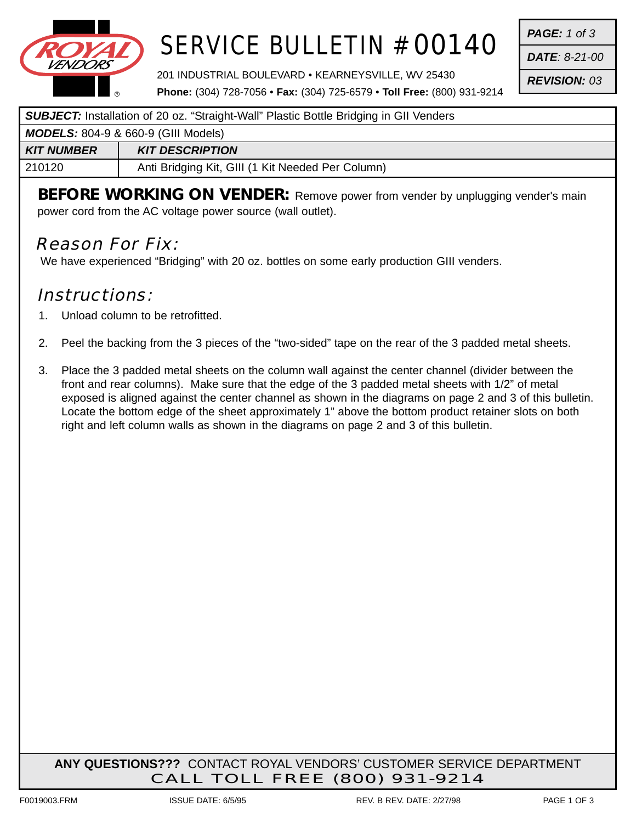

# SERVICE BULLETIN # 00140

201 INDUSTRIAL BOULEVARD • KEARNEYSVILLE, WV 25430

*PAGE: 1 of 3*

*DATE: 8-21-00*

*REVISION: 03*

**Phone:** (304) 728-7056 • **Fax:** (304) 725-6579 • **Toll Free:** (800) 931-9214

#### **SUBJECT:** Installation of 20 oz. "Straight-Wall" Plastic Bottle Bridging in GII Venders

| <b>MODELS:</b> 804-9 & 660-9 (GIII Models) |                                                   |
|--------------------------------------------|---------------------------------------------------|
| KIT NUMBER                                 | <b>KIT DESCRIPTION</b>                            |
| 210120                                     | Anti Bridging Kit, GIII (1 Kit Needed Per Column) |
|                                            |                                                   |

**BEFORE WORKING ON VENDER:** Remove power from vender by unplugging vender's main power cord from the AC voltage power source (wall outlet).

### Reason For Fix:

We have experienced "Bridging" with 20 oz. bottles on some early production GIII venders.

### Instructions:

- 1. Unload column to be retrofitted.
- 2. Peel the backing from the 3 pieces of the "two-sided" tape on the rear of the 3 padded metal sheets.
- 3. Place the 3 padded metal sheets on the column wall against the center channel (divider between the front and rear columns). Make sure that the edge of the 3 padded metal sheets with 1/2" of metal exposed is aligned against the center channel as shown in the diagrams on page 2 and 3 of this bulletin. Locate the bottom edge of the sheet approximately 1" above the bottom product retainer slots on both right and left column walls as shown in the diagrams on page 2 and 3 of this bulletin.

**ANY QUESTIONS???** CONTACT ROYAL VENDORS' CUSTOMER SERVICE DEPARTMENT CALL TOLL FREE (800) 931-9214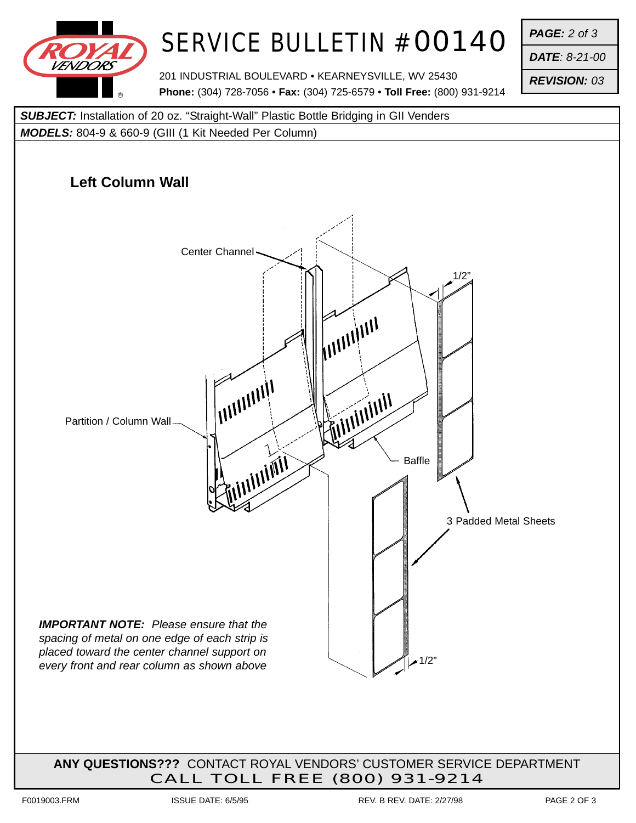

# SERVICE BULLETIN # 00140

201 INDUSTRIAL BOULEVARD • KEARNEYSVILLE, WV 25430 **Phone:** (304) 728-7056 • **Fax:** (304) 725-6579 • **Toll Free:** (800) 931-9214 *PAGE: 2 of 3*

*DATE: 8-21-00*

*REVISION: 03*



**ANY QUESTIONS???** CONTACT ROYAL VENDORS' CUSTOMER SERVICE DEPARTMENT CALL TOLL FREE (800) 931-9214